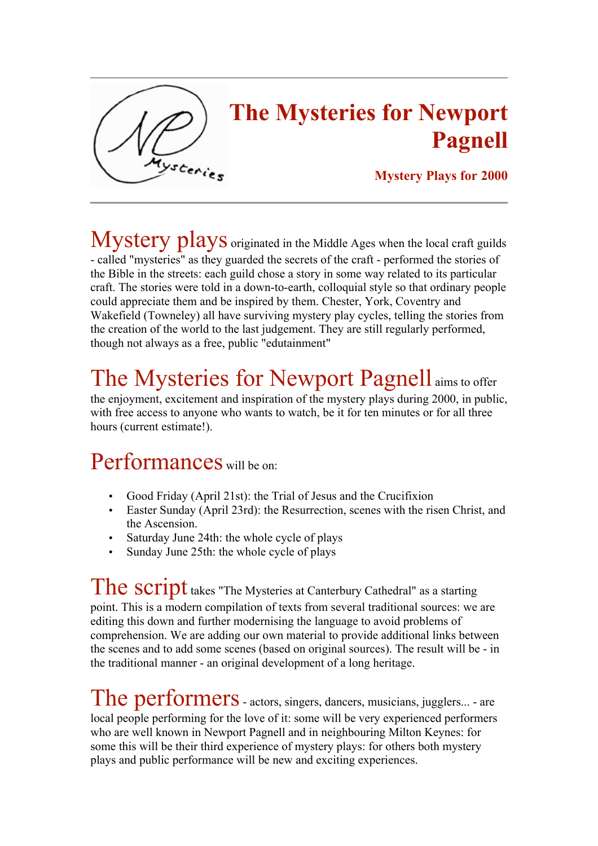

## The Mysteries for Newport Pagnell

## Mystery Plays for 2000

Mystery plays originated in the Middle Ages when the local craft guilds - called "mysteries" as they guarded the secrets of the craft - performed the stories of the Bible in the streets: each guild chose a story in some way related to its particular craft. The stories were told in a down-to-earth, colloquial style so that ordinary people could appreciate them and be inspired by them. Chester, York, Coventry and Wakefield (Towneley) all have surviving mystery play cycles, telling the stories from the creation of the world to the last judgement. They are still regularly performed, though not always as a free, public "edutainment"

## The Mysteries for Newport Pagnell aims to offer

the enjoyment, excitement and inspiration of the mystery plays during 2000, in public, with free access to anyone who wants to watch, be it for ten minutes or for all three hours (current estimate!).

## Performances will be on:

- Good Friday (April 21st): the Trial of Jesus and the Crucifixion
- Easter Sunday (April 23rd): the Resurrection, scenes with the risen Christ, and the Ascension.
- Saturday June 24th: the whole cycle of plays
- Sunday June 25th: the whole cycle of plays

The script takes "The Mysteries at Canterbury Cathedral" as a starting point. This is a modern compilation of texts from several traditional sources: we are editing this down and further modernising the language to avoid problems of comprehension. We are adding our own material to provide additional links between the scenes and to add some scenes (based on original sources). The result will be - in the traditional manner - an original development of a long heritage.

The performers - actors, singers, dancers, musicians, jugglers... - are local people performing for the love of it: some will be very experienced performers who are well known in Newport Pagnell and in neighbouring Milton Keynes: for some this will be their third experience of mystery plays: for others both mystery plays and public performance will be new and exciting experiences.